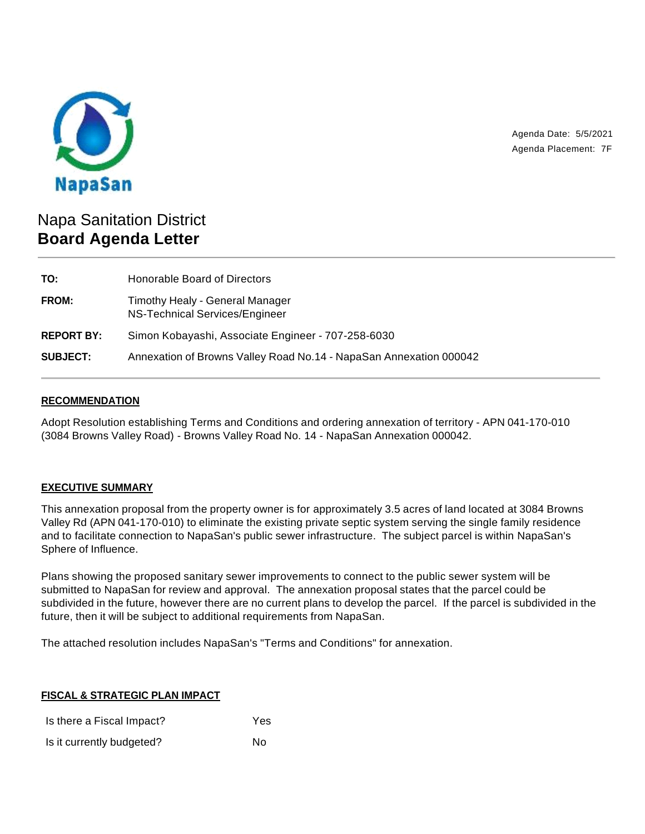

Agenda Date: 5/5/2021 Agenda Placement: 7F

# Napa Sanitation District **Board Agenda Letter**

| TO:               | Honorable Board of Directors                                       |
|-------------------|--------------------------------------------------------------------|
| <b>FROM:</b>      | Timothy Healy - General Manager<br>NS-Technical Services/Engineer  |
| <b>REPORT BY:</b> | Simon Kobayashi, Associate Engineer - 707-258-6030                 |
| <b>SUBJECT:</b>   | Annexation of Browns Valley Road No.14 - NapaSan Annexation 000042 |

### **RECOMMENDATION**

Adopt Resolution establishing Terms and Conditions and ordering annexation of territory - APN 041-170-010 (3084 Browns Valley Road) - Browns Valley Road No. 14 - NapaSan Annexation 000042.

#### **EXECUTIVE SUMMARY**

This annexation proposal from the property owner is for approximately 3.5 acres of land located at 3084 Browns Valley Rd (APN 041-170-010) to eliminate the existing private septic system serving the single family residence and to facilitate connection to NapaSan's public sewer infrastructure. The subject parcel is within NapaSan's Sphere of Influence.

Plans showing the proposed sanitary sewer improvements to connect to the public sewer system will be submitted to NapaSan for review and approval. The annexation proposal states that the parcel could be subdivided in the future, however there are no current plans to develop the parcel. If the parcel is subdivided in the future, then it will be subject to additional requirements from NapaSan.

The attached resolution includes NapaSan's "Terms and Conditions" for annexation.

#### **FISCAL & STRATEGIC PLAN IMPACT**

Is there a Fiscal Impact? Yes Is it currently budgeted? No